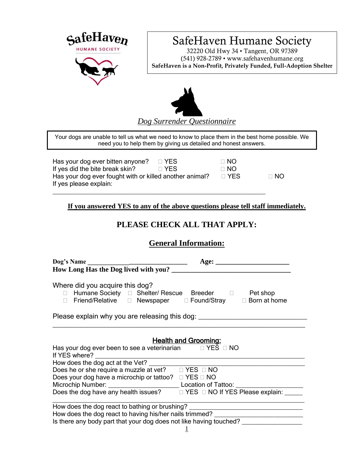

# SafeHaven Humane Society

32220 Old Hwy 34 • Tangent, OR 97389 (541) 928-2789 • www.safehavenhumane.org **SafeHaven is a Non-Profit, Privately Funded, Full-Adoption Shelter**



Your dogs are unable to tell us what we need to know to place them in the best home possible. We need you to help them by giving us detailed and honest answers.

Has your dog ever bitten anyone?  $\Box$  YES  $\Box$  NO If yes did the bite break skin? 
If yes did the bite break skin? Has your dog ever fought with or killed another animal?  $\Box$  YES  $\Box$  NO If yes please explain:

\_\_\_\_\_\_\_\_\_\_\_\_\_\_\_\_\_\_\_\_\_\_\_\_\_\_\_\_\_\_\_\_\_\_\_\_\_\_\_\_\_\_\_\_\_\_\_\_\_\_\_\_\_\_\_\_\_\_\_\_

**If you answered YES to any of the above questions please tell staff immediately.**

# **PLEASE CHECK ALL THAT APPLY:**

### **General Information:**

| Where did you acquire this dog?<br>□ Humane Society □ Shelter/ Rescue Breeder □ Pet shop<br>□ Friend/Relative □ Newspaper □ Found/Stray □ Born at home |                                                                                  |  |  |  |  |
|--------------------------------------------------------------------------------------------------------------------------------------------------------|----------------------------------------------------------------------------------|--|--|--|--|
| Please explain why you are releasing this dog:                                                                                                         |                                                                                  |  |  |  |  |
|                                                                                                                                                        | <b>Health and Grooming:</b>                                                      |  |  |  |  |
| Has your dog ever been to see a veterinarian DYES DNO                                                                                                  |                                                                                  |  |  |  |  |
| How does the dog act at the Vet?                                                                                                                       |                                                                                  |  |  |  |  |
| Does he or she require a muzzle at vet? $\Box$ YES $\Box$ NO                                                                                           |                                                                                  |  |  |  |  |
| Does your dog have a microchip or tattoo? $\Box$ YES $\Box$ NO                                                                                         |                                                                                  |  |  |  |  |
|                                                                                                                                                        |                                                                                  |  |  |  |  |
| Does the dog have any health issues?<br>$\Box$ YES $\Box$ NO If YES Please explain: _____                                                              |                                                                                  |  |  |  |  |
|                                                                                                                                                        | How does the dog react to bathing or brushing? _________________________________ |  |  |  |  |
|                                                                                                                                                        | How does the dog react to having his/her nails trimmed? ________________________ |  |  |  |  |
|                                                                                                                                                        | Is there any body part that your dog does not like having touched?               |  |  |  |  |
| in the contract of the contract of the contract of the contract of the contract of the contract of the contract of                                     |                                                                                  |  |  |  |  |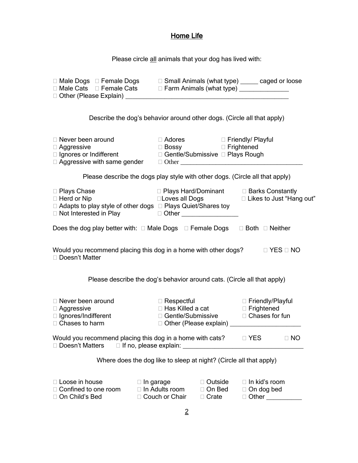#### Home Life

Please circle all animals that your dog has lived with:

| □ Male Dogs □ Female Dogs □ Small Animals (what type) _____ caged or loose □ Male Cats □ Female Cats □ Farm Animals (what type) _____________                                       |                                                                                               |  |                                                                                  |  |
|-------------------------------------------------------------------------------------------------------------------------------------------------------------------------------------|-----------------------------------------------------------------------------------------------|--|----------------------------------------------------------------------------------|--|
| Describe the dog's behavior around other dogs. (Circle all that apply)                                                                                                              |                                                                                               |  |                                                                                  |  |
| $\Box$ Never been around                                                                                                                                                            | □ Adores □ Friendly/ Playful<br>□ Bossy Derightened                                           |  |                                                                                  |  |
| Please describe the dogs play style with other dogs. (Circle all that apply)                                                                                                        |                                                                                               |  |                                                                                  |  |
| □ Plays Chase<br>$\Box$ Herd or Nip<br>□ Adapts to play style of other dogs □ Plays Quiet/Shares toy                                                                                | □ Plays Hard/Dominant   □ Barks Constantly<br>□Loves all Dogs      □ Likes to Just "Hang out" |  |                                                                                  |  |
| Does the dog play better with: $\Box$ Male Dogs $\Box$ Female Dogs $\Box$ Both $\Box$ Neither                                                                                       |                                                                                               |  |                                                                                  |  |
| Would you recommend placing this dog in a home with other dogs? $\Box$ YES $\Box$ NO<br>□ Doesn't Matter<br>Please describe the dog's behavior around cats. (Circle all that apply) |                                                                                               |  |                                                                                  |  |
| □ Never been around<br>□ Aggressive<br>□ / ignores/Indifferent<br>□ Chases to harm                                                                                                  | □ Respectful<br>□ Has Killed a cat<br>□ Gentle/Submissive □ Chases for fun                    |  | □ Friendly/Playful                                                               |  |
| □ Doesn't Matters                                                                                                                                                                   | $\Box$ If no, please explain: $\Box$                                                          |  |                                                                                  |  |
|                                                                                                                                                                                     | Where does the dog like to sleep at night? (Circle all that apply)                            |  |                                                                                  |  |
| $\Box$ Loose in house<br>$\Box$ In garage<br>□ Confined to one room<br>□ On Child's Bed                                                                                             | $\Box$ Outside<br>$\Box$ In Adults room<br>$\Box$ On Bed<br>□ Couch or Chair<br>$\Box$ Crate  |  | $\Box$ In kid's room<br>$\Box$ On dog bed<br>□ Other <u>New York New York 10</u> |  |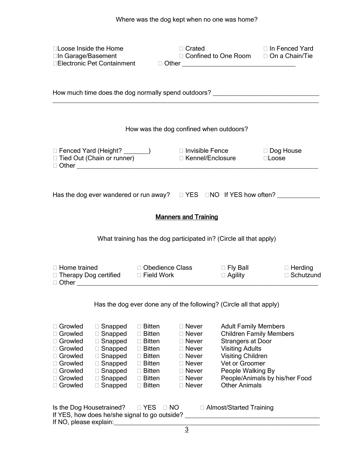| □Loose Inside the Home<br>□In Garage/Basement                                                                     |                                                                                                                                     |                                                                                                                                                  | □ Crated                                                                                                                                |                                                                                                                                                                                                                | □ In Fenced Yard<br>□ Confined to One Room □ On a Chain/Tie                      |
|-------------------------------------------------------------------------------------------------------------------|-------------------------------------------------------------------------------------------------------------------------------------|--------------------------------------------------------------------------------------------------------------------------------------------------|-----------------------------------------------------------------------------------------------------------------------------------------|----------------------------------------------------------------------------------------------------------------------------------------------------------------------------------------------------------------|----------------------------------------------------------------------------------|
|                                                                                                                   |                                                                                                                                     |                                                                                                                                                  |                                                                                                                                         |                                                                                                                                                                                                                | How much time does the dog normally spend outdoors? ____________________________ |
|                                                                                                                   |                                                                                                                                     |                                                                                                                                                  |                                                                                                                                         | How was the dog confined when outdoors?                                                                                                                                                                        |                                                                                  |
|                                                                                                                   |                                                                                                                                     |                                                                                                                                                  |                                                                                                                                         | □ Fenced Yard (Height? _______)<br>□ Tied Out (Chain or runner)       □ Kennel/Enclosure      □ Loose                                                                                                          |                                                                                  |
|                                                                                                                   |                                                                                                                                     |                                                                                                                                                  |                                                                                                                                         |                                                                                                                                                                                                                | Has the dog ever wandered or run away? $\Box$ YES $\Box$ NO If YES how often?    |
|                                                                                                                   |                                                                                                                                     |                                                                                                                                                  | <b>Manners and Training</b>                                                                                                             |                                                                                                                                                                                                                |                                                                                  |
|                                                                                                                   | What training has the dog participated in? (Circle all that apply)                                                                  |                                                                                                                                                  |                                                                                                                                         |                                                                                                                                                                                                                |                                                                                  |
|                                                                                                                   | □ Therapy Dog certified □ Field Work                                                                                                |                                                                                                                                                  |                                                                                                                                         | $\Box$ Agility                                                                                                                                                                                                 | □ Home trained Depedience Class Dely Ball Delerding<br>□ Schutzund               |
| Has the dog ever done any of the following? (Circle all that apply)                                               |                                                                                                                                     |                                                                                                                                                  |                                                                                                                                         |                                                                                                                                                                                                                |                                                                                  |
| □ Growled<br>□ Growled<br>□ Growled<br>□ Growled<br>□ Growled<br>□ Growled<br>□ Growled<br>□ Growled<br>□ Growled | $\Box$ Snapped<br>□ Snapped<br>Snapped<br>□ Snapped<br>$\Box$ Snapped<br>$\Box$ Snapped<br>□ Snapped<br>□ Snapped<br>$\Box$ Snapped | $\Box$ Bitten<br>□ Bitten<br>$\Box$ Bitten<br>$\Box$ Bitten<br>$\Box$ Bitten<br>$\Box$ Bitten<br>$\Box$ Bitten<br>$\Box$ Bitten<br>$\Box$ Bitten | $\Box$ Never<br>□ Never<br>$\Box$ Never<br>$\Box$ Never<br>$\Box$ Never<br>$\Box$ Never<br>$\Box$ Never<br>$\Box$ Never<br>$\Box$ Never | <b>Adult Family Members</b><br><b>Children Family Members</b><br><b>Strangers at Door</b><br><b>Visiting Adults</b><br><b>Visiting Children</b><br>Vet or Groomer<br>People Walking By<br><b>Other Animals</b> | People/Animals by his/her Food                                                   |
| Is the Dog Housetrained?<br>If NO, please explain:                                                                | If YES, how does he/she signal to go outside?                                                                                       | $\Box$ YES<br>$\Box$ NO                                                                                                                          |                                                                                                                                         | □ Almost/Started Training                                                                                                                                                                                      |                                                                                  |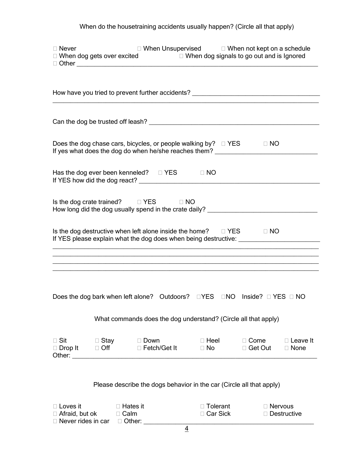# When do the housetraining accidents usually happen? (Circle all that apply)

| $\Box$ Never                             | □ When dog gets over excited □ When dog signals to go out and is Ignored □ Other                                                                                                                                                                                 |                               |                          |                          | $\Box$ When Unsupervised $\Box$ When not kept on a schedule |                                |
|------------------------------------------|------------------------------------------------------------------------------------------------------------------------------------------------------------------------------------------------------------------------------------------------------------------|-------------------------------|--------------------------|--------------------------|-------------------------------------------------------------|--------------------------------|
|                                          | How have you tried to prevent further accidents? _______________________________<br>,我们也不能在这里的时候,我们也不能在这里的时候,我们也不能会在这里的时候,我们也不能会在这里的时候,我们也不能会在这里的时候,我们也不能会在这里的时候,我们也不                                                                                            |                               |                          |                          |                                                             |                                |
|                                          |                                                                                                                                                                                                                                                                  |                               |                          |                          |                                                             |                                |
|                                          | Does the dog chase cars, bicycles, or people walking by? $\Box$ YES $\Box$ NO<br>If yes what does the dog do when he/she reaches them?                                                                                                                           |                               |                          |                          |                                                             |                                |
|                                          | Has the dog ever been kenneled? $\Box$ YES $\Box$ NO                                                                                                                                                                                                             |                               |                          |                          |                                                             |                                |
|                                          | Is the dog crate trained? $\square$ YES $\square$ NO<br>How long did the dog usually spend in the crate daily? _________________________                                                                                                                         |                               |                          |                          |                                                             |                                |
|                                          | Is the dog destructive when left alone inside the home? □ YES □ NO<br>If YES please explain what the dog does when being destructive: _________________<br>,我们也不能在这里的时候,我们也不能在这里的时候,我们也不能会在这里的时候,我们也不能会在这里的时候,我们也不能会在这里的时候,我们也不能会在这里的时候,我们也不                     |                               |                          |                          |                                                             |                                |
|                                          | ,我们也不会有什么。""我们的人,我们也不会有什么?""我们的人,我们也不会有什么?""我们的人,我们也不会有什么?""我们的人,我们也不会有什么?""我们的人<br>Does the dog bark when left alone? Outdoors? $\square$ YES $\square$ NO Inside? $\square$ YES $\square$ NO<br>What commands does the dog understand? (Circle all that apply) |                               |                          |                          |                                                             |                                |
| $\Box$ Sit<br>$\Box$ Drop It             | $\Box$ Stay<br>$\Box$ Off                                                                                                                                                                                                                                        | $\Box$ Down<br>□ Fetch/Get It | $\Box$ Heel<br>$\Box$ No |                          | $\Box$ Come<br>□ Get Out                                    | $\Box$ Leave It<br>$\Box$ None |
|                                          | Please describe the dogs behavior in the car (Circle all that apply)                                                                                                                                                                                             |                               |                          |                          |                                                             |                                |
| $\Box$ Loves it<br>$\Box$ Afraid, but ok | $\Box$ Hates it<br>$\Box$ Calm<br>$\Box$ Never rides in car $\Box$ Other:                                                                                                                                                                                        |                               |                          | □ Tolerant<br>□ Car Sick | $\Box$ Nervous                                              | □ Destructive                  |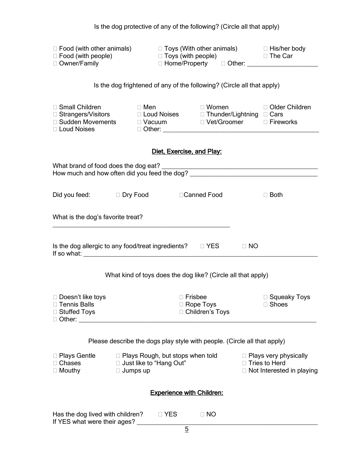|                                                                                                                              |                                                                                         | Is the dog protective of any of the following? (Circle all that apply) |                                                                                          |  |
|------------------------------------------------------------------------------------------------------------------------------|-----------------------------------------------------------------------------------------|------------------------------------------------------------------------|------------------------------------------------------------------------------------------|--|
| $\Box$ Food (with other animals) $\Box$ Toys (With other animals) $\Box$ His/her body                                        |                                                                                         |                                                                        |                                                                                          |  |
|                                                                                                                              |                                                                                         | Is the dog frightened of any of the following? (Circle all that apply) |                                                                                          |  |
| □ Small Children<br>□ Strangers/Visitors<br>□ Loud Noises  □ Thunder/Lightning □ Cars<br>□ Sudden Movements<br>□ Loud Noises |                                                                                         | □ Men □ Women □ Older Children                                         |                                                                                          |  |
|                                                                                                                              | Diet, Exercise, and Play:                                                               |                                                                        |                                                                                          |  |
|                                                                                                                              |                                                                                         |                                                                        |                                                                                          |  |
| Did you feed: □ Dry Food □ Canned Food                                                                                       |                                                                                         |                                                                        | $\Box$ Both                                                                              |  |
| What is the dog's favorite treat?                                                                                            |                                                                                         |                                                                        |                                                                                          |  |
| Is the dog allergic to any food/treat ingredients? □ YES □ NO                                                                |                                                                                         |                                                                        |                                                                                          |  |
|                                                                                                                              |                                                                                         | What kind of toys does the dog like? (Circle all that apply)           |                                                                                          |  |
| $\Box$ Doesn't like toys<br>□ Tennis Balls<br>□ Stuffed Toys<br>$\Box$ Other:                                                |                                                                                         | $\Box$ Frisbee<br>$\Box$ Rope Toys<br>□ Children's Toys                | □ Squeaky Toys<br>□ Shoes                                                                |  |
| Please describe the dogs play style with people. (Circle all that apply)                                                     |                                                                                         |                                                                        |                                                                                          |  |
| □ Plays Gentle<br>Chases<br>$\Box$ Mouthy                                                                                    | $\Box$ Plays Rough, but stops when told<br>□ Just like to "Hang Out"<br>$\Box$ Jumps up |                                                                        | $\Box$ Plays very physically<br>$\Box$ Tries to Herd<br>$\Box$ Not Interested in playing |  |
| <b>Experience with Children:</b>                                                                                             |                                                                                         |                                                                        |                                                                                          |  |
| Has the dog lived with children?<br>If YES what were their ages?                                                             | $\Box$ YES                                                                              | $\Box$ NO                                                              |                                                                                          |  |
|                                                                                                                              | 5                                                                                       |                                                                        |                                                                                          |  |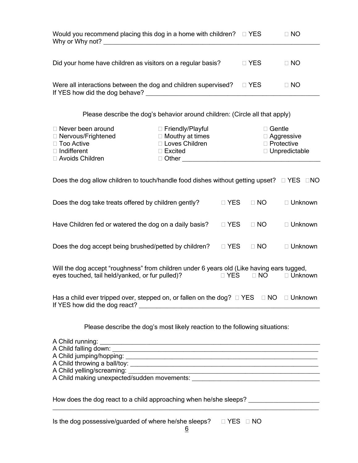| Would you recommend placing this dog in a home with children? $\square$ YES<br>Why or Why not? <u>contained</u> a series and the series of the series of the series of the series of the series of the series of the series of the series of the series of the series of the series of the series of the series of |                                                                                                      |            |               | $\Box$ NO                                       |
|--------------------------------------------------------------------------------------------------------------------------------------------------------------------------------------------------------------------------------------------------------------------------------------------------------------------|------------------------------------------------------------------------------------------------------|------------|---------------|-------------------------------------------------|
| Did your home have children as visitors on a regular basis?                                                                                                                                                                                                                                                        | $\Box$ YES                                                                                           | $\Box$ NO  |               |                                                 |
| Were all interactions between the dog and children supervised?                                                                                                                                                                                                                                                     |                                                                                                      |            | □ YES         | $\Box$ NO                                       |
| Please describe the dog's behavior around children: (Circle all that apply)                                                                                                                                                                                                                                        |                                                                                                      |            |               |                                                 |
| □ Never been around<br>□ Nervous/Frightened<br>□ Too Active<br>$\Box$ Indifferent<br>□ Avoids Children                                                                                                                                                                                                             | □ Friendly/Playful<br>$\Box$ Mouthy at times<br>□ Loves Children<br>□ Excited<br>$\Box$ Other $\Box$ |            | $\Box$ Gentle | □ Aggressive<br>□ Protective<br>□ Unpredictable |
| Does the dog allow children to touch/handle food dishes without getting upset? $\square$ YES $\square$ NO                                                                                                                                                                                                          |                                                                                                      |            |               |                                                 |
| Does the dog take treats offered by children gently?                                                                                                                                                                                                                                                               |                                                                                                      | $\Box$ YES | $\Box$ NO     | □ Unknown                                       |
| Have Children fed or watered the dog on a daily basis?                                                                                                                                                                                                                                                             |                                                                                                      | $\Box$ YES | $\Box$ NO     | □ Unknown                                       |
| Does the dog accept being brushed/petted by children?                                                                                                                                                                                                                                                              |                                                                                                      | $\Box$ YES | $\Box$ NO     | □ Unknown                                       |
| Will the dog accept "roughness" from children under 6 years old (Like having ears tugged,<br>eyes touched, tail held/yanked, or fur pulled)?<br>$\Box$ YES<br>$\Box$ NO<br>□ Unknown                                                                                                                               |                                                                                                      |            |               |                                                 |
| Has a child ever tripped over, stepped on, or fallen on the dog? $\Box$ YES $\Box$ NO $\Box$ Unknown                                                                                                                                                                                                               |                                                                                                      |            |               |                                                 |
| Please describe the dog's most likely reaction to the following situations:                                                                                                                                                                                                                                        |                                                                                                      |            |               |                                                 |
| A Child running: <u>A Child running:</u>                                                                                                                                                                                                                                                                           |                                                                                                      |            |               |                                                 |
|                                                                                                                                                                                                                                                                                                                    |                                                                                                      |            |               |                                                 |

How does the dog react to a child approaching when he/she sleeps? \_\_\_\_\_\_\_\_\_\_\_\_\_\_

Is the dog possessive/guarded of where he/she sleeps?  $\Box$  YES  $\Box$  NO

\_\_\_\_\_\_\_\_\_\_\_\_\_\_\_\_\_\_\_\_\_\_\_\_\_\_\_\_\_\_\_\_\_\_\_\_\_\_\_\_\_\_\_\_\_\_\_\_\_\_\_\_\_\_\_\_\_\_\_\_\_\_\_\_\_\_\_\_\_\_\_\_\_\_\_